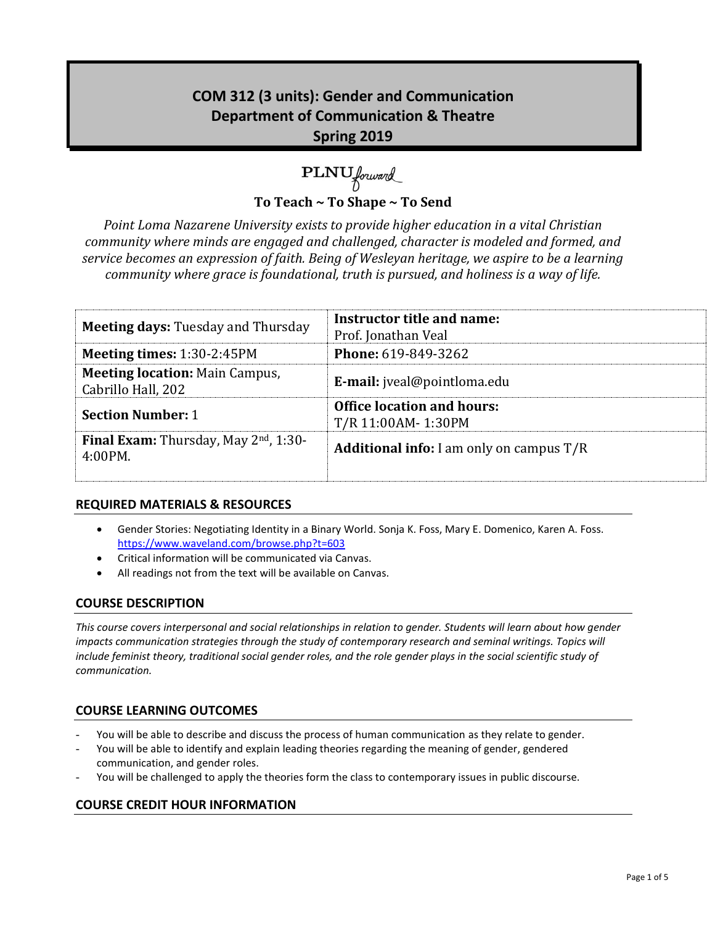# **COM 312 (3 units): Gender and Communication Department of Communication & Theatre Spring 2019**

# PLNU forward

**To Teach ~ To Shape ~ To Send**

*Point Loma Nazarene University exists to provide higher education in a vital Christian community where minds are engaged and challenged, character is modeled and formed, and service becomes an expression of faith. Being of Wesleyan heritage, we aspire to be a learning community where grace is foundational, truth is pursued, and holiness is a way of life.*

| <b>Meeting days: Tuesday and Thursday</b>                   | Instructor title and name:<br>Prof. Jonathan Veal       |
|-------------------------------------------------------------|---------------------------------------------------------|
| <b>Meeting times: 1:30-2:45PM</b>                           | <b>Phone: 619-849-3262</b>                              |
| <b>Meeting location: Main Campus,</b><br>Cabrillo Hall, 202 | <b>E-mail:</b> jveal@pointloma.edu                      |
| <b>Section Number: 1</b>                                    | <b>Office location and hours:</b><br>T/R 11:00AM-1:30PM |
| Final Exam: Thursday, May 2nd, 1:30-<br>4:00PM.             | <b>Additional info:</b> I am only on campus $T/R$       |

# **REQUIRED MATERIALS & RESOURCES**

- Gender Stories: Negotiating Identity in a Binary World. Sonja K. Foss, Mary E. Domenico, Karen A. Foss. <https://www.waveland.com/browse.php?t=603>
- Critical information will be communicated via Canvas.
- All readings not from the text will be available on Canvas.

# **COURSE DESCRIPTION**

*This course covers interpersonal and social relationships in relation to gender. Students will learn about how gender impacts communication strategies through the study of contemporary research and seminal writings. Topics will include feminist theory, traditional social gender roles, and the role gender plays in the social scientific study of communication.* 

# **COURSE LEARNING OUTCOMES**

- You will be able to describe and discuss the process of human communication as they relate to gender.
- You will be able to identify and explain leading theories regarding the meaning of gender, gendered communication, and gender roles.
- You will be challenged to apply the theories form the class to contemporary issues in public discourse.

# **COURSE CREDIT HOUR INFORMATION**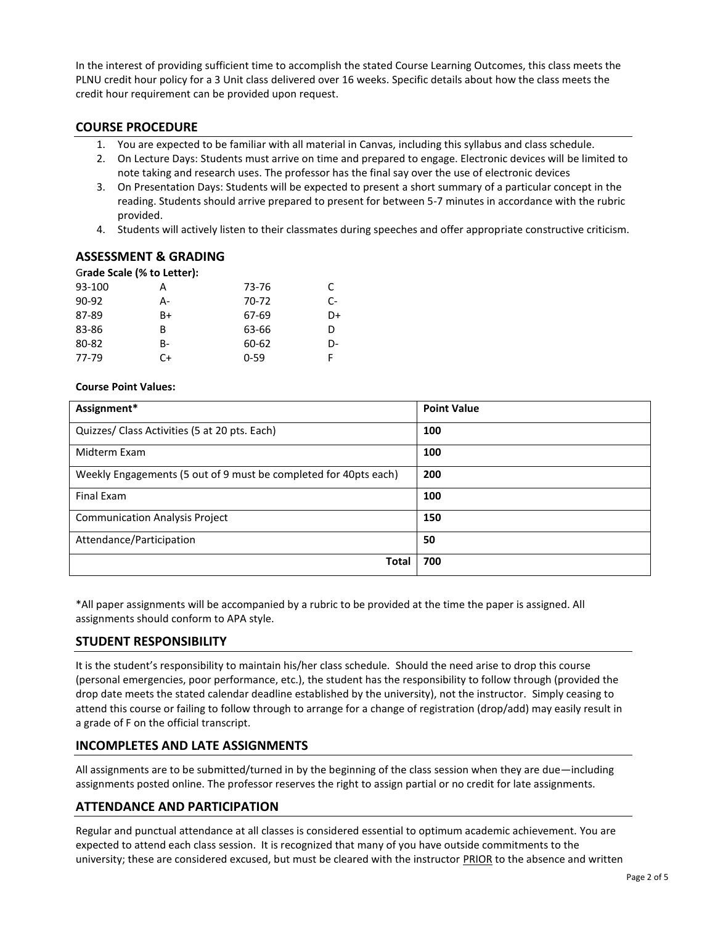In the interest of providing sufficient time to accomplish the stated Course Learning Outcomes, this class meets the PLNU credit hour policy for a 3 Unit class delivered over 16 weeks. Specific details about how the class meets the credit hour requirement can be provided upon request.

#### **COURSE PROCEDURE**

- 1. You are expected to be familiar with all material in Canvas, including this syllabus and class schedule.
- 2. On Lecture Days: Students must arrive on time and prepared to engage. Electronic devices will be limited to note taking and research uses. The professor has the final say over the use of electronic devices
- 3. On Presentation Days: Students will be expected to present a short summary of a particular concept in the reading. Students should arrive prepared to present for between 5-7 minutes in accordance with the rubric provided.
- 4. Students will actively listen to their classmates during speeches and offer appropriate constructive criticism.

#### **ASSESSMENT & GRADING**

#### G**rade Scale (% to Letter):**

| 93-100 | А  | 73-76    | C  |
|--------|----|----------|----|
| 90-92  | А- | 70-72    | C- |
| 87-89  | B+ | 67-69    | D+ |
| 83-86  | B  | 63-66    | D  |
| 80-82  | B- | 60-62    | D- |
| 77-79  | C+ | $0 - 59$ | F  |

#### **Course Point Values:**

| Assignment*                                                      | <b>Point Value</b> |
|------------------------------------------------------------------|--------------------|
| Quizzes/ Class Activities (5 at 20 pts. Each)                    | 100                |
| Midterm Exam                                                     | 100                |
| Weekly Engagements (5 out of 9 must be completed for 40pts each) | 200                |
| <b>Final Exam</b>                                                | 100                |
| <b>Communication Analysis Project</b>                            | 150                |
| Attendance/Participation                                         | 50                 |
| <b>Total</b>                                                     | 700                |

\*All paper assignments will be accompanied by a rubric to be provided at the time the paper is assigned. All assignments should conform to APA style.

# **STUDENT RESPONSIBILITY**

It is the student's responsibility to maintain his/her class schedule. Should the need arise to drop this course (personal emergencies, poor performance, etc.), the student has the responsibility to follow through (provided the drop date meets the stated calendar deadline established by the university), not the instructor. Simply ceasing to attend this course or failing to follow through to arrange for a change of registration (drop/add) may easily result in a grade of F on the official transcript.

#### **INCOMPLETES AND LATE ASSIGNMENTS**

All assignments are to be submitted/turned in by the beginning of the class session when they are due—including assignments posted online. The professor reserves the right to assign partial or no credit for late assignments.

#### **ATTENDANCE AND PARTICIPATION**

Regular and punctual attendance at all classes is considered essential to optimum academic achievement. You are expected to attend each class session. It is recognized that many of you have outside commitments to the university; these are considered excused, but must be cleared with the instructor PRIOR to the absence and written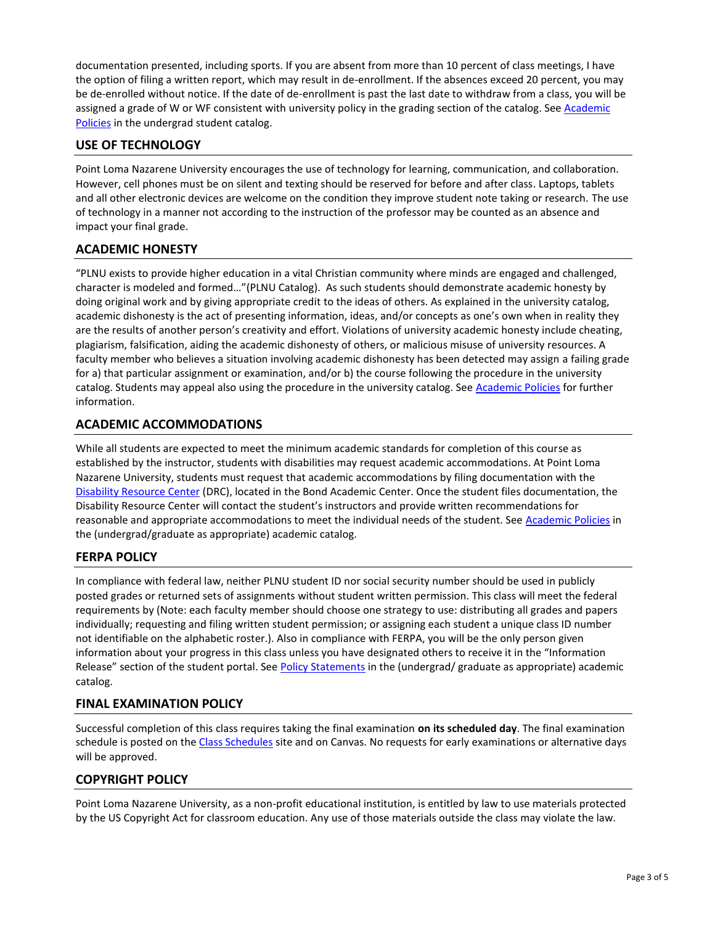documentation presented, including sports. If you are absent from more than 10 percent of class meetings, I have the option of filing a written report, which may result in de-enrollment. If the absences exceed 20 percent, you may be de-enrolled without notice. If the date of de-enrollment is past the last date to withdraw from a class, you will be assigned a grade of W or WF consistent with university policy in the grading section of the catalog. See Academic [Policies](http://www.pointloma.edu/experience/academics/catalogs/undergraduate-catalog/point-loma-education/academic-policies) in the undergrad student catalog.

# **USE OF TECHNOLOGY**

Point Loma Nazarene University encourages the use of technology for learning, communication, and collaboration. However, cell phones must be on silent and texting should be reserved for before and after class. Laptops, tablets and all other electronic devices are welcome on the condition they improve student note taking or research. The use of technology in a manner not according to the instruction of the professor may be counted as an absence and impact your final grade.

#### **ACADEMIC HONESTY**

"PLNU exists to provide higher education in a vital Christian community where minds are engaged and challenged, character is modeled and formed…"(PLNU Catalog). As such students should demonstrate academic honesty by doing original work and by giving appropriate credit to the ideas of others. As explained in the university catalog, academic dishonesty is the act of presenting information, ideas, and/or concepts as one's own when in reality they are the results of another person's creativity and effort. Violations of university academic honesty include cheating, plagiarism, falsification, aiding the academic dishonesty of others, or malicious misuse of university resources. A faculty member who believes a situation involving academic dishonesty has been detected may assign a failing grade for a) that particular assignment or examination, and/or b) the course following the procedure in the university catalog. Students may appeal also using the procedure in the university catalog. Se[e Academic Policies](http://www.pointloma.edu/experience/academics/catalogs/undergraduate-catalog/point-loma-education/academic-policies) for further information.

# **ACADEMIC ACCOMMODATIONS**

While all students are expected to meet the minimum academic standards for completion of this course as established by the instructor, students with disabilities may request academic accommodations. At Point Loma Nazarene University, students must request that academic accommodations by filing documentation with the [Disability Resource Center](http://www.pointloma.edu/experience/offices/administrative-offices/academic-advising-office/disability-resource-center) (DRC), located in the Bond Academic Center. Once the student files documentation, the Disability Resource Center will contact the student's instructors and provide written recommendations for reasonable and appropriate accommodations to meet the individual needs of the student. See [Academic Policies](http://www.pointloma.edu/experience/academics/catalogs/undergraduate-catalog/point-loma-education/academic-policies) in the (undergrad/graduate as appropriate) academic catalog.

#### **FERPA POLICY**

In compliance with federal law, neither PLNU student ID nor social security number should be used in publicly posted grades or returned sets of assignments without student written permission. This class will meet the federal requirements by (Note: each faculty member should choose one strategy to use: distributing all grades and papers individually; requesting and filing written student permission; or assigning each student a unique class ID number not identifiable on the alphabetic roster.). Also in compliance with FERPA, you will be the only person given information about your progress in this class unless you have designated others to receive it in the "Information Release" section of the student portal. See [Policy Statements](http://www.pointloma.edu/experience/academics/catalogs/undergraduate-catalog/policy-statements) in the (undergrad/ graduate as appropriate) academic catalog.

# **FINAL EXAMINATION POLICY**

Successful completion of this class requires taking the final examination **on its scheduled day**. The final examination schedule is posted on th[e Class Schedules](http://www.pointloma.edu/experience/academics/class-schedules) site and on Canvas. No requests for early examinations or alternative days will be approved.

#### **COPYRIGHT POLICY**

Point Loma Nazarene University, as a non-profit educational institution, is entitled by law to use materials protected by the US Copyright Act for classroom education. Any use of those materials outside the class may violate the law.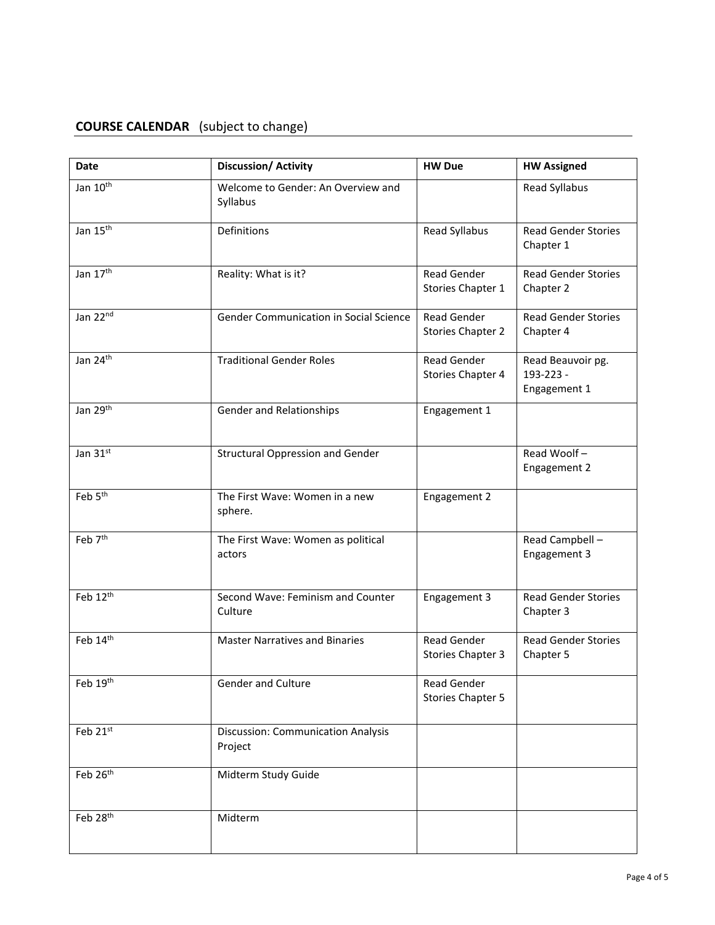# **COURSE CALENDAR** (subject to change)

| Date                     | <b>Discussion/ Activity</b>                    | <b>HW Due</b>                           | <b>HW Assigned</b>                             |
|--------------------------|------------------------------------------------|-----------------------------------------|------------------------------------------------|
| Jan 10 <sup>th</sup>     | Welcome to Gender: An Overview and<br>Syllabus |                                         | Read Syllabus                                  |
| Jan 15 <sup>th</sup>     | Definitions                                    | Read Syllabus                           | <b>Read Gender Stories</b><br>Chapter 1        |
| Jan 17th                 | Reality: What is it?                           | Read Gender<br>Stories Chapter 1        | <b>Read Gender Stories</b><br>Chapter 2        |
| Jan 22nd                 | Gender Communication in Social Science         | <b>Read Gender</b><br>Stories Chapter 2 | <b>Read Gender Stories</b><br>Chapter 4        |
| Jan 24th                 | <b>Traditional Gender Roles</b>                | <b>Read Gender</b><br>Stories Chapter 4 | Read Beauvoir pg.<br>193-223 -<br>Engagement 1 |
| Jan 29th                 | Gender and Relationships                       | Engagement 1                            |                                                |
| Jan 31st                 | <b>Structural Oppression and Gender</b>        |                                         | Read Woolf-<br>Engagement 2                    |
| Feb 5 <sup>th</sup>      | The First Wave: Women in a new<br>sphere.      | Engagement 2                            |                                                |
| Feb 7 <sup>th</sup>      | The First Wave: Women as political<br>actors   |                                         | Read Campbell -<br>Engagement 3                |
| Feb 12th                 | Second Wave: Feminism and Counter<br>Culture   | Engagement 3                            | <b>Read Gender Stories</b><br>Chapter 3        |
| Feb 14th                 | <b>Master Narratives and Binaries</b>          | <b>Read Gender</b><br>Stories Chapter 3 | <b>Read Gender Stories</b><br>Chapter 5        |
| Feb 19th                 | Gender and Culture                             | <b>Read Gender</b><br>Stories Chapter 5 |                                                |
| Feb 21st                 | Discussion: Communication Analysis<br>Project  |                                         |                                                |
| Feb 26th                 | Midterm Study Guide                            |                                         |                                                |
| Feb $28^{\overline{th}}$ | Midterm                                        |                                         |                                                |